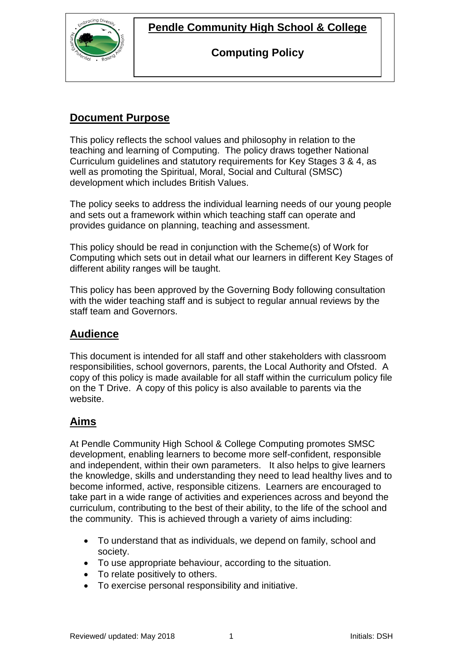

**Pendle Community High School & College**

#### **Computing Policy**

## **Document Purpose**

This policy reflects the school values and philosophy in relation to the teaching and learning of Computing. The policy draws together National Curriculum guidelines and statutory requirements for Key Stages 3 & 4, as well as promoting the Spiritual, Moral, Social and Cultural (SMSC) development which includes British Values.

The policy seeks to address the individual learning needs of our young people and sets out a framework within which teaching staff can operate and provides guidance on planning, teaching and assessment.

This policy should be read in conjunction with the Scheme(s) of Work for Computing which sets out in detail what our learners in different Key Stages of different ability ranges will be taught.

This policy has been approved by the Governing Body following consultation with the wider teaching staff and is subject to regular annual reviews by the staff team and Governors.

### **Audience**

This document is intended for all staff and other stakeholders with classroom responsibilities, school governors, parents, the Local Authority and Ofsted. A copy of this policy is made available for all staff within the curriculum policy file on the T Drive. A copy of this policy is also available to parents via the website.

### **Aims**

At Pendle Community High School & College Computing promotes SMSC development, enabling learners to become more self-confident, responsible and independent, within their own parameters. It also helps to give learners the knowledge, skills and understanding they need to lead healthy lives and to become informed, active, responsible citizens. Learners are encouraged to take part in a wide range of activities and experiences across and beyond the curriculum, contributing to the best of their ability, to the life of the school and the community. This is achieved through a variety of aims including:

- To understand that as individuals, we depend on family, school and society.
- To use appropriate behaviour, according to the situation.
- To relate positively to others.
- To exercise personal responsibility and initiative.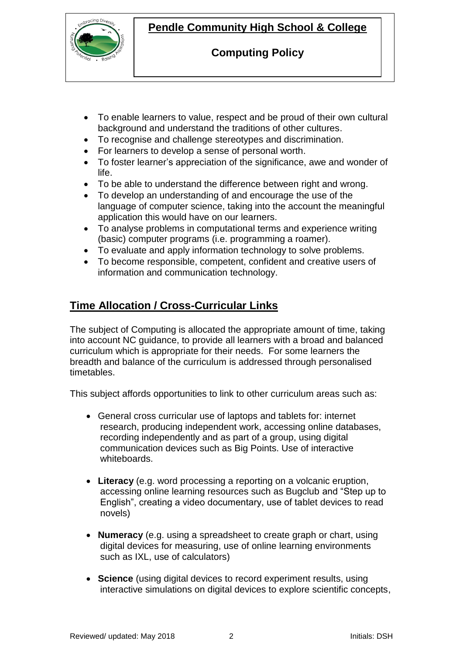

# **Pendle Community High School & College**

### **Computing Policy**

- To enable learners to value, respect and be proud of their own cultural background and understand the traditions of other cultures.
- To recognise and challenge stereotypes and discrimination.
- For learners to develop a sense of personal worth.
- To foster learner's appreciation of the significance, awe and wonder of life.
- To be able to understand the difference between right and wrong.
- To develop an understanding of and encourage the use of the language of computer science, taking into the account the meaningful application this would have on our learners.
- To analyse problems in computational terms and experience writing (basic) computer programs (i.e. programming a roamer).
- To evaluate and apply information technology to solve problems.
- To become responsible, competent, confident and creative users of information and communication technology.

# **Time Allocation / Cross-Curricular Links**

The subject of Computing is allocated the appropriate amount of time, taking into account NC guidance, to provide all learners with a broad and balanced curriculum which is appropriate for their needs. For some learners the breadth and balance of the curriculum is addressed through personalised timetables.

This subject affords opportunities to link to other curriculum areas such as:

- General cross curricular use of laptops and tablets for: internet research, producing independent work, accessing online databases, recording independently and as part of a group, using digital communication devices such as Big Points. Use of interactive whiteboards.
- **Literacy** (e.g. word processing a reporting on a volcanic eruption, accessing online learning resources such as Bugclub and "Step up to English", creating a video documentary, use of tablet devices to read novels)
- **Numeracy** (e.g. using a spreadsheet to create graph or chart, using digital devices for measuring, use of online learning environments such as IXL, use of calculators)
- **Science** (using digital devices to record experiment results, using interactive simulations on digital devices to explore scientific concepts,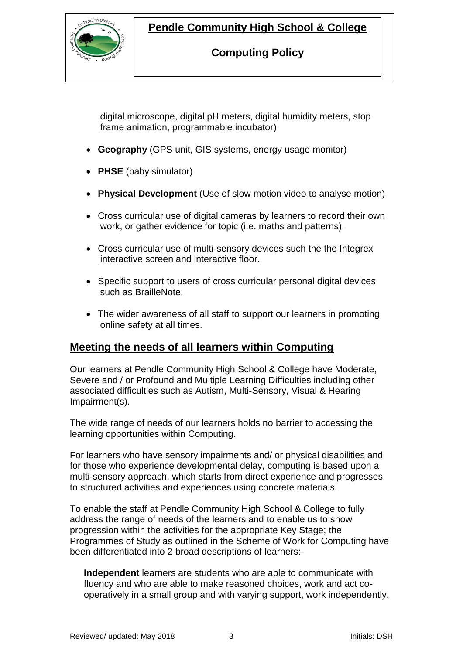

## **Pendle Community High School & College**

### **Computing Policy**

digital microscope, digital pH meters, digital humidity meters, stop frame animation, programmable incubator)

- **Geography** (GPS unit, GIS systems, energy usage monitor)
- **PHSE** (baby simulator)
- **Physical Development** (Use of slow motion video to analyse motion)
- Cross curricular use of digital cameras by learners to record their own work, or gather evidence for topic (i.e. maths and patterns).
- Cross curricular use of multi-sensory devices such the the Integrex interactive screen and interactive floor.
- Specific support to users of cross curricular personal digital devices such as BrailleNote.
- The wider awareness of all staff to support our learners in promoting online safety at all times.

### **Meeting the needs of all learners within Computing**

Our learners at Pendle Community High School & College have Moderate, Severe and / or Profound and Multiple Learning Difficulties including other associated difficulties such as Autism, Multi-Sensory, Visual & Hearing Impairment(s).

The wide range of needs of our learners holds no barrier to accessing the learning opportunities within Computing.

For learners who have sensory impairments and/ or physical disabilities and for those who experience developmental delay, computing is based upon a multi-sensory approach, which starts from direct experience and progresses to structured activities and experiences using concrete materials.

To enable the staff at Pendle Community High School & College to fully address the range of needs of the learners and to enable us to show progression within the activities for the appropriate Key Stage; the Programmes of Study as outlined in the Scheme of Work for Computing have been differentiated into 2 broad descriptions of learners:-

**Independent** learners are students who are able to communicate with fluency and who are able to make reasoned choices, work and act cooperatively in a small group and with varying support, work independently.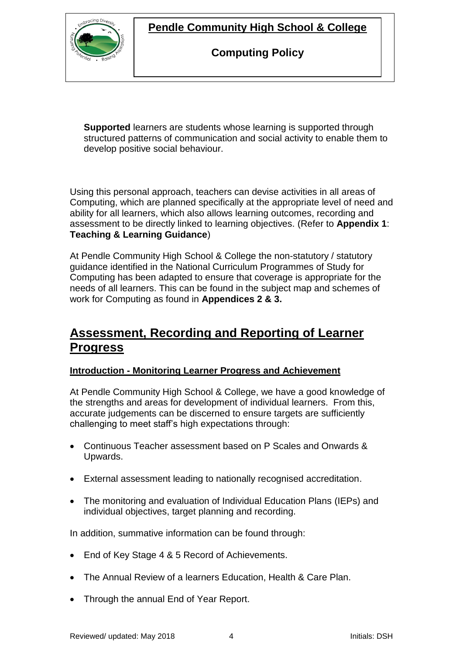## **Pendle Community High School & College**



**Computing Policy**

**Supported** learners are students whose learning is supported through structured patterns of communication and social activity to enable them to develop positive social behaviour.

Using this personal approach, teachers can devise activities in all areas of Computing, which are planned specifically at the appropriate level of need and ability for all learners, which also allows learning outcomes, recording and assessment to be directly linked to learning objectives. (Refer to **Appendix 1**: **Teaching & Learning Guidance**)

At Pendle Community High School & College the non-statutory / statutory guidance identified in the National Curriculum Programmes of Study for Computing has been adapted to ensure that coverage is appropriate for the needs of all learners. This can be found in the subject map and schemes of work for Computing as found in **Appendices 2 & 3.**

# **Assessment, Recording and Reporting of Learner Progress**

#### **Introduction - Monitoring Learner Progress and Achievement**

At Pendle Community High School & College, we have a good knowledge of the strengths and areas for development of individual learners. From this, accurate judgements can be discerned to ensure targets are sufficiently challenging to meet staff's high expectations through:

- Continuous Teacher assessment based on P Scales and Onwards & Upwards.
- External assessment leading to nationally recognised accreditation.
- The monitoring and evaluation of Individual Education Plans (IEPs) and individual objectives, target planning and recording.

In addition, summative information can be found through:

- End of Key Stage 4 & 5 Record of Achievements.
- The Annual Review of a learners Education, Health & Care Plan.
- Through the annual End of Year Report.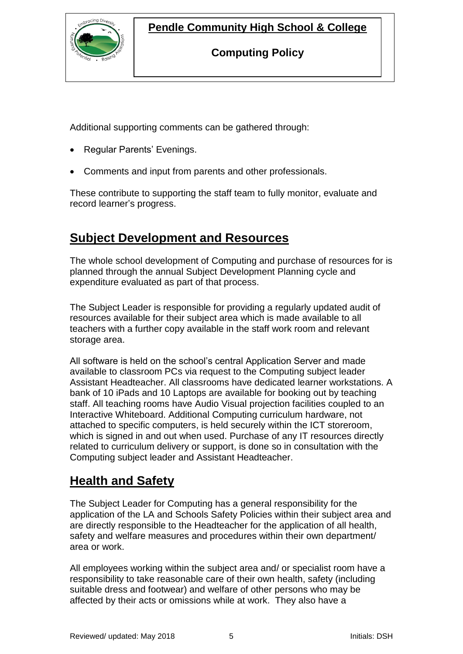# **Pendle Community High School & College**



### **Computing Policy**

Additional supporting comments can be gathered through:

- Regular Parents' Evenings.
- Comments and input from parents and other professionals.

These contribute to supporting the staff team to fully monitor, evaluate and record learner's progress.

# **Subject Development and Resources**

The whole school development of Computing and purchase of resources for is planned through the annual Subject Development Planning cycle and expenditure evaluated as part of that process.

The Subject Leader is responsible for providing a regularly updated audit of resources available for their subject area which is made available to all teachers with a further copy available in the staff work room and relevant storage area.

All software is held on the school's central Application Server and made available to classroom PCs via request to the Computing subject leader Assistant Headteacher. All classrooms have dedicated learner workstations. A bank of 10 iPads and 10 Laptops are available for booking out by teaching staff. All teaching rooms have Audio Visual projection facilities coupled to an Interactive Whiteboard. Additional Computing curriculum hardware, not attached to specific computers, is held securely within the ICT storeroom, which is signed in and out when used. Purchase of any IT resources directly related to curriculum delivery or support, is done so in consultation with the Computing subject leader and Assistant Headteacher.

# **Health and Safety**

The Subject Leader for Computing has a general responsibility for the application of the LA and Schools Safety Policies within their subject area and are directly responsible to the Headteacher for the application of all health, safety and welfare measures and procedures within their own department/ area or work.

All employees working within the subject area and/ or specialist room have a responsibility to take reasonable care of their own health, safety (including suitable dress and footwear) and welfare of other persons who may be affected by their acts or omissions while at work. They also have a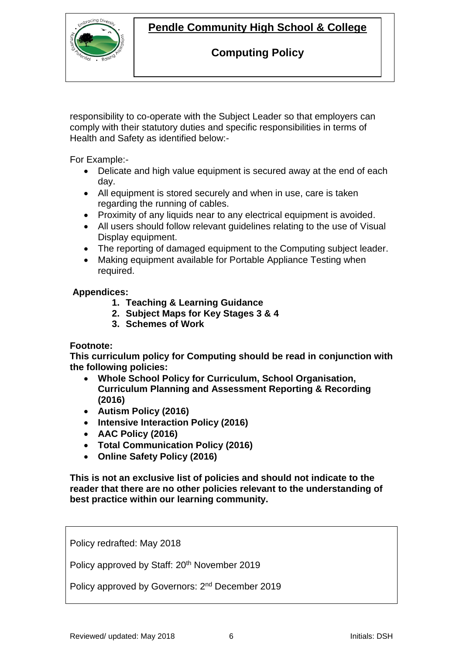# **Pendle Community High School & College**



### **Computing Policy**

responsibility to co-operate with the Subject Leader so that employers can comply with their statutory duties and specific responsibilities in terms of Health and Safety as identified below:-

For Example:-

- Delicate and high value equipment is secured away at the end of each day.
- All equipment is stored securely and when in use, care is taken regarding the running of cables.
- Proximity of any liquids near to any electrical equipment is avoided.
- All users should follow relevant quidelines relating to the use of Visual Display equipment.
- The reporting of damaged equipment to the Computing subject leader.
- Making equipment available for Portable Appliance Testing when required.

#### **Appendices:**

- **1. Teaching & Learning Guidance**
- **2. Subject Maps for Key Stages 3 & 4**
- **3. Schemes of Work**

#### **Footnote:**

**This curriculum policy for Computing should be read in conjunction with the following policies:**

- **Whole School Policy for Curriculum, School Organisation, Curriculum Planning and Assessment Reporting & Recording (2016)**
- **Autism Policy (2016)**
- **Intensive Interaction Policy (2016)**
- **AAC Policy (2016)**
- **Total Communication Policy (2016)**
- **Online Safety Policy (2016)**

**This is not an exclusive list of policies and should not indicate to the reader that there are no other policies relevant to the understanding of best practice within our learning community.**

Policy redrafted: May 2018

Policy approved by Staff: 20th November 2019

Policy approved by Governors: 2<sup>nd</sup> December 2019